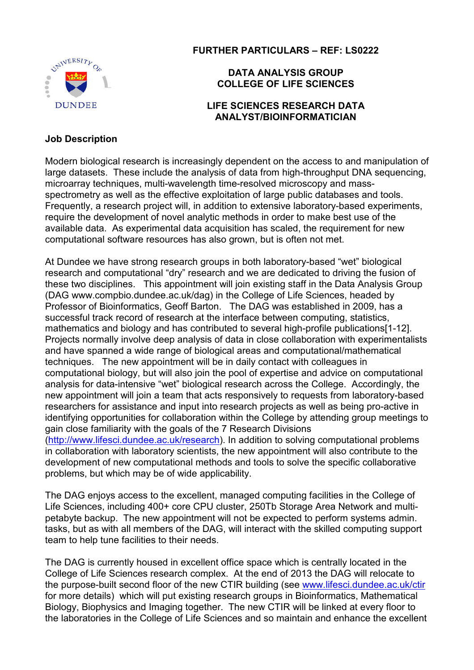

FURTHER PARTICULARS – REF: LS0222

## DATA ANALYSIS GROUP COLLEGE OF LIFE SCIENCES

#### LIFE SCIENCES RESEARCH DATA ANALYST/BIOINFORMATICIAN

### Job Description

Modern biological research is increasingly dependent on the access to and manipulation of large datasets. These include the analysis of data from high-throughput DNA sequencing, microarray techniques, multi-wavelength time-resolved microscopy and massspectrometry as well as the effective exploitation of large public databases and tools. Frequently, a research project will, in addition to extensive laboratory-based experiments, require the development of novel analytic methods in order to make best use of the available data. As experimental data acquisition has scaled, the requirement for new computational software resources has also grown, but is often not met.

At Dundee we have strong research groups in both laboratory-based "wet" biological research and computational "dry" research and we are dedicated to driving the fusion of these two disciplines. This appointment will join existing staff in the Data Analysis Group (DAG www.compbio.dundee.ac.uk/dag) in the College of Life Sciences, headed by Professor of Bioinformatics, Geoff Barton. The DAG was established in 2009, has a successful track record of research at the interface between computing, statistics, mathematics and biology and has contributed to several high-profile publications[1-12]. Projects normally involve deep analysis of data in close collaboration with experimentalists and have spanned a wide range of biological areas and computational/mathematical techniques. The new appointment will be in daily contact with colleagues in computational biology, but will also join the pool of expertise and advice on computational analysis for data-intensive "wet" biological research across the College. Accordingly, the new appointment will join a team that acts responsively to requests from laboratory-based researchers for assistance and input into research projects as well as being pro-active in identifying opportunities for collaboration within the College by attending group meetings to gain close familiarity with the goals of the 7 Research Divisions (http://www.lifesci.dundee.ac.uk/research). In addition to solving computational problems in collaboration with laboratory scientists, the new appointment will also contribute to the development of new computational methods and tools to solve the specific collaborative problems, but which may be of wide applicability.

The DAG enjoys access to the excellent, managed computing facilities in the College of Life Sciences, including 400+ core CPU cluster, 250Tb Storage Area Network and multipetabyte backup. The new appointment will not be expected to perform systems admin. tasks, but as with all members of the DAG, will interact with the skilled computing support team to help tune facilities to their needs.

The DAG is currently housed in excellent office space which is centrally located in the College of Life Sciences research complex. At the end of 2013 the DAG will relocate to the purpose-built second floor of the new CTIR building (see www.lifesci.dundee.ac.uk/ctir for more details) which will put existing research groups in Bioinformatics, Mathematical Biology, Biophysics and Imaging together. The new CTIR will be linked at every floor to the laboratories in the College of Life Sciences and so maintain and enhance the excellent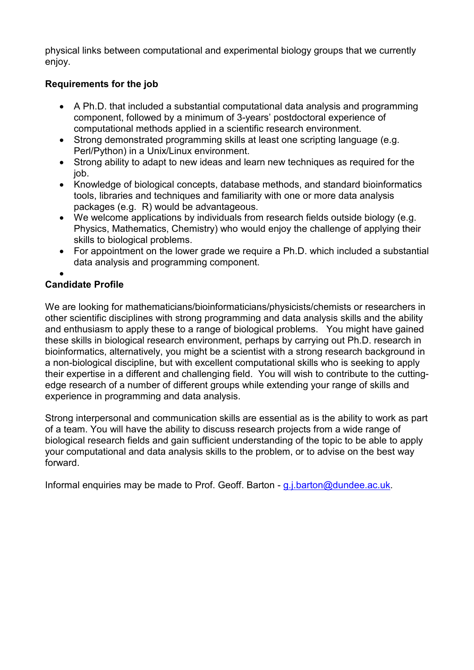physical links between computational and experimental biology groups that we currently enjoy.

## Requirements for the job

- A Ph.D. that included a substantial computational data analysis and programming component, followed by a minimum of 3-years' postdoctoral experience of computational methods applied in a scientific research environment.
- Strong demonstrated programming skills at least one scripting language (e.g. Perl/Python) in a Unix/Linux environment.
- Strong ability to adapt to new ideas and learn new techniques as required for the job.
- Knowledge of biological concepts, database methods, and standard bioinformatics tools, libraries and techniques and familiarity with one or more data analysis packages (e.g. R) would be advantageous.
- We welcome applications by individuals from research fields outside biology (e.g. Physics, Mathematics, Chemistry) who would enjoy the challenge of applying their skills to biological problems.
- For appointment on the lower grade we require a Ph.D. which included a substantial data analysis and programming component.
- •

## Candidate Profile

We are looking for mathematicians/bioinformaticians/physicists/chemists or researchers in other scientific disciplines with strong programming and data analysis skills and the ability and enthusiasm to apply these to a range of biological problems. You might have gained these skills in biological research environment, perhaps by carrying out Ph.D. research in bioinformatics, alternatively, you might be a scientist with a strong research background in a non-biological discipline, but with excellent computational skills who is seeking to apply their expertise in a different and challenging field. You will wish to contribute to the cuttingedge research of a number of different groups while extending your range of skills and experience in programming and data analysis.

Strong interpersonal and communication skills are essential as is the ability to work as part of a team. You will have the ability to discuss research projects from a wide range of biological research fields and gain sufficient understanding of the topic to be able to apply your computational and data analysis skills to the problem, or to advise on the best way forward.

Informal enquiries may be made to Prof. Geoff. Barton - g.j.barton@dundee.ac.uk.